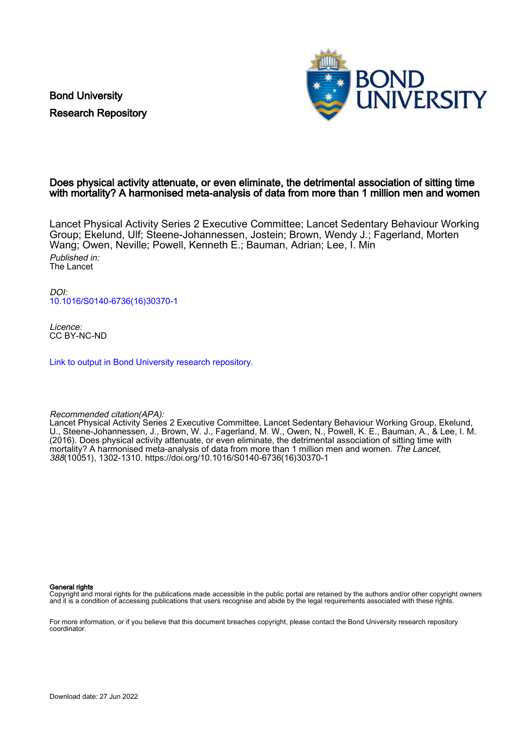Bond University Research Repository



## Does physical activity attenuate, or even eliminate, the detrimental association of sitting time with mortality? A harmonised meta-analysis of data from more than 1 million men and women

Lancet Physical Activity Series 2 Executive Committee; Lancet Sedentary Behaviour Working Group; Ekelund, Ulf; Steene-Johannessen, Jostein; Brown, Wendy J.; Fagerland, Morten Wang; Owen, Neville; Powell, Kenneth E.; Bauman, Adrian; Lee, I. Min Published in: The Lancet

DOI: [10.1016/S0140-6736\(16\)30370-1](https://doi.org/10.1016/S0140-6736(16)30370-1)

Licence: CC BY-NC-ND

[Link to output in Bond University research repository.](https://research.bond.edu.au/en/publications/fb61d909-f6c4-4f0b-a05c-5fb27b879264)

#### Recommended citation(APA):

Lancet Physical Activity Series 2 Executive Committee, Lancet Sedentary Behaviour Working Group, Ekelund, U., Steene-Johannessen, J., Brown, W. J., Fagerland, M. W., Owen, N., Powell, K. E., Bauman, A., & Lee, I. M. (2016). Does physical activity attenuate, or even eliminate, the detrimental association of sitting time with mortality? A harmonised meta-analysis of data from more than 1 million men and women. The Lancet, 388(10051), 1302-1310. [https://doi.org/10.1016/S0140-6736\(16\)30370-1](https://doi.org/10.1016/S0140-6736(16)30370-1)

#### General rights

Copyright and moral rights for the publications made accessible in the public portal are retained by the authors and/or other copyright owners and it is a condition of accessing publications that users recognise and abide by the legal requirements associated with these rights.

For more information, or if you believe that this document breaches copyright, please contact the Bond University research repository coordinator.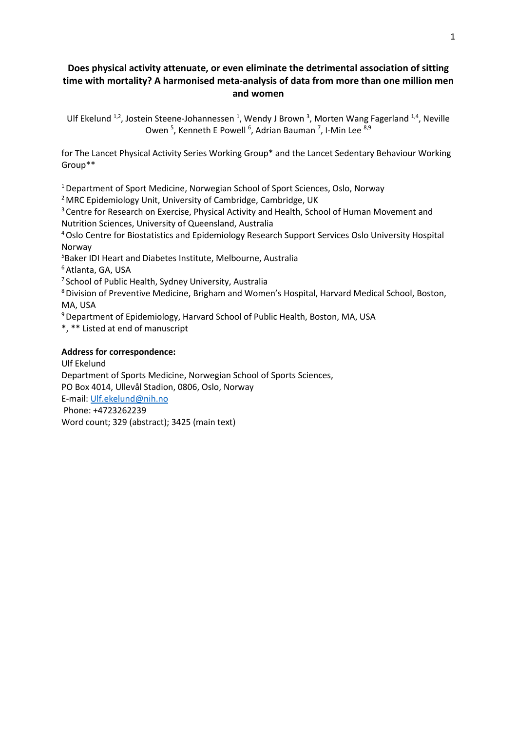# **Does physical activity attenuate, or even eliminate the detrimental association of sitting time with mortality? A harmonised meta-analysis of data from more than one million men and women**

Ulf Ekelund  $1,2$ , Jostein Steene-Johannessen  $1$ , Wendy J Brown  $3$ , Morten Wang Fagerland  $1,4$ , Neville Owen <sup>5</sup>, Kenneth E Powell <sup>6</sup>, Adrian Bauman <sup>7</sup>, I-Min Lee <sup>8,9</sup>

for The Lancet Physical Activity Series Working Group\* and the Lancet Sedentary Behaviour Working Group\*\*

<sup>1</sup> Department of Sport Medicine, Norwegian School of Sport Sciences, Oslo, Norway

<sup>2</sup> MRC Epidemiology Unit, University of Cambridge, Cambridge, UK

<sup>3</sup> Centre for Research on Exercise, Physical Activity and Health, School of Human Movement and Nutrition Sciences, University of Queensland, Australia

4 Oslo Centre for Biostatistics and Epidemiology Research Support Services Oslo University Hospital Norway

5 Baker IDI Heart and Diabetes Institute, Melbourne, Australia

<sup>6</sup> Atlanta, GA, USA

<sup>7</sup> School of Public Health, Sydney University, Australia

8Division of Preventive Medicine, Brigham and Women's Hospital, Harvard Medical School, Boston, MA, USA

<sup>9</sup> Department of Epidemiology, Harvard School of Public Health, Boston, MA, USA

\*, \*\* Listed at end of manuscript

## **Address for correspondence:**

Ulf Ekelund Department of Sports Medicine, Norwegian School of Sports Sciences, PO Box 4014, Ullevål Stadion, 0806, Oslo, Norway E-mail: [Ulf.ekelund@nih.no](mailto:Ulf.ekelund@nih.no) Phone: +4723262239 Word count; 329 (abstract); 3425 (main text)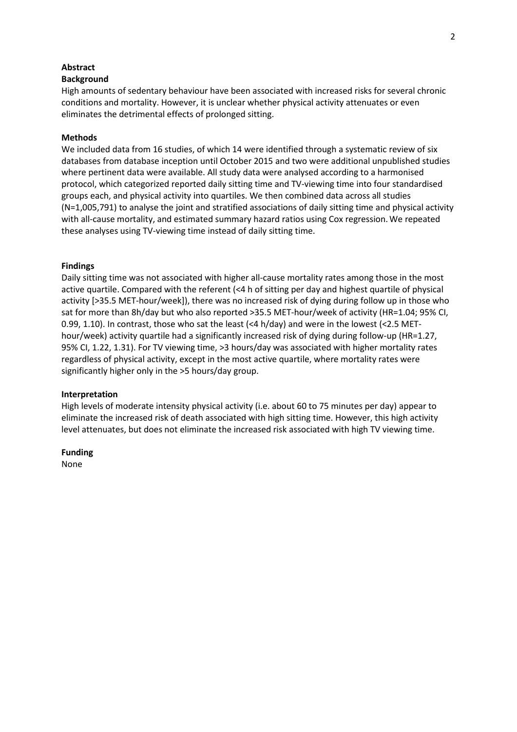### **Abstract**

### **Background**

High amounts of sedentary behaviour have been associated with increased risks for several chronic conditions and mortality. However, it is unclear whether physical activity attenuates or even eliminates the detrimental effects of prolonged sitting.

## **Methods**

We included data from 16 studies, of which 14 were identified through a systematic review of six databases from database inception until October 2015 and two were additional unpublished studies where pertinent data were available. All study data were analysed according to a harmonised protocol, which categorized reported daily sitting time and TV-viewing time into four standardised groups each, and physical activity into quartiles. We then combined data across all studies (N=1,005,791) to analyse the joint and stratified associations of daily sitting time and physical activity with all-cause mortality, and estimated summary hazard ratios using Cox regression.We repeated these analyses using TV-viewing time instead of daily sitting time.

### **Findings**

Daily sitting time was not associated with higher all-cause mortality rates among those in the most active quartile. Compared with the referent (<4 h of sitting per day and highest quartile of physical activity [>35.5 MET-hour/week]), there was no increased risk of dying during follow up in those who sat for more than 8h/day but who also reported >35.5 MET-hour/week of activity (HR=1.04; 95% CI, 0.99, 1.10). In contrast, those who sat the least (<4 h/day) and were in the lowest (<2.5 METhour/week) activity quartile had a significantly increased risk of dying during follow-up (HR=1.27, 95% CI, 1.22, 1.31). For TV viewing time, >3 hours/day was associated with higher mortality rates regardless of physical activity, except in the most active quartile, where mortality rates were significantly higher only in the >5 hours/day group.

### **Interpretation**

High levels of moderate intensity physical activity (i.e. about 60 to 75 minutes per day) appear to eliminate the increased risk of death associated with high sitting time. However, this high activity level attenuates, but does not eliminate the increased risk associated with high TV viewing time.

### **Funding**

None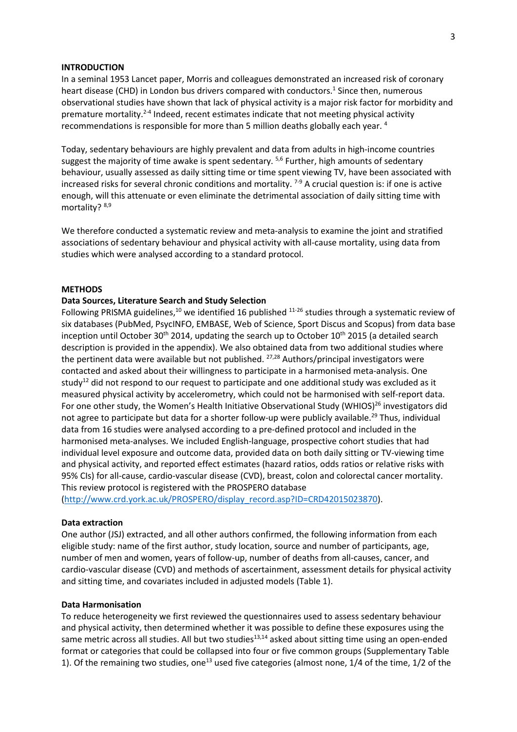### **INTRODUCTION**

In a seminal 1953 Lancet paper, Morris and colleagues demonstrated an increased risk of coronary heart disease (CHD) in London bus drivers compared with conductors. <sup>1</sup> Since then, numerous observational studies have shown that lack of physical activity is a major risk factor for morbidity and premature mortality.<sup>2-4</sup> Indeed, recent estimates indicate that not meeting physical activity recommendations is responsible for more than 5 million deaths globally each year. 4

Today, sedentary behaviours are highly prevalent and data from adults in high-income countries suggest the majority of time awake is spent sedentary. <sup>5,6</sup> Further, high amounts of sedentary behaviour, usually assessed as daily sitting time or time spent viewing TV, have been associated with increased risks for several chronic conditions and mortality.  $7-9$  A crucial question is: if one is active enough, will this attenuate or even eliminate the detrimental association of daily sitting time with mortality? 8,9

We therefore conducted a systematic review and meta-analysis to examine the joint and stratified associations of sedentary behaviour and physical activity with all-cause mortality, using data from studies which were analysed according to a standard protocol.

### **METHODS**

### **Data Sources, Literature Search and Study Selection**

Following PRISMA guidelines,<sup>10</sup> we identified 16 published  $11-26$  studies through a systematic review of six databases (PubMed, PsycINFO, EMBASE, Web of Science, Sport Discus and Scopus) from data base inception until October 30<sup>th</sup> 2014, updating the search up to October 10<sup>th</sup> 2015 (a detailed search description is provided in the appendix). We also obtained data from two additional studies where the pertinent data were available but not published. <sup>27,28</sup> Authors/principal investigators were contacted and asked about their willingness to participate in a harmonised meta-analysis. One study<sup>12</sup> did not respond to our request to participate and one additional study was excluded as it measured physical activity by accelerometry, which could not be harmonised with self-report data. For one other study, the Women's Health Initiative Observational Study (WHIOS)<sup>26</sup> investigators did not agree to participate but data for a shorter follow-up were publicly available.<sup>29</sup> Thus, individual data from 16 studies were analysed according to a pre-defined protocol and included in the harmonised meta-analyses. We included English-language, prospective cohort studies that had individual level exposure and outcome data, provided data on both daily sitting or TV-viewing time and physical activity, and reported effect estimates (hazard ratios, odds ratios or relative risks with 95% CIs) for all-cause, cardio-vascular disease (CVD), breast, colon and colorectal cancer mortality. This review protocol is registered with the PROSPERO database

[\(http://www.crd.york.ac.uk/PROSPERO/display\\_record.asp?ID=CRD42015023870\)](http://www.crd.york.ac.uk/PROSPERO/display_record.asp?ID=CRD42015023870).

### **Data extraction**

One author (JSJ) extracted, and all other authors confirmed, the following information from each eligible study: name of the first author, study location, source and number of participants, age, number of men and women, years of follow-up, number of deaths from all-causes, cancer, and cardio-vascular disease (CVD) and methods of ascertainment, assessment details for physical activity and sitting time, and covariates included in adjusted models (Table 1).

#### **Data Harmonisation**

To reduce heterogeneity we first reviewed the questionnaires used to assess sedentary behaviour and physical activity, then determined whether it was possible to define these exposures using the same metric across all studies. All but two studies<sup>13,14</sup> asked about sitting time using an open-ended format or categories that could be collapsed into four or five common groups (Supplementary Table 1). Of the remaining two studies, one<sup>13</sup> used five categories (almost none, 1/4 of the time, 1/2 of the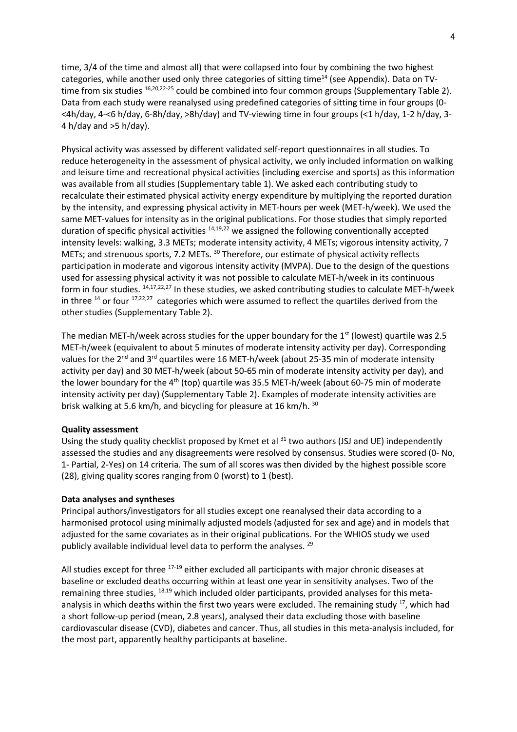time, 3/4 of the time and almost all) that were collapsed into four by combining the two highest categories, while another used only three categories of sitting time<sup>14</sup> (see Appendix). Data on TVtime from six studies  $16,20,22-25$  could be combined into four common groups (Supplementary Table 2). Data from each study were reanalysed using predefined categories of sitting time in four groups (0- <4h/day, 4-<6 h/day, 6-8h/day, >8h/day) and TV-viewing time in four groups (<1 h/day, 1-2 h/day, 3- 4 h/day and  $>5$  h/day).

Physical activity was assessed by different validated self-report questionnaires in all studies. To reduce heterogeneity in the assessment of physical activity, we only included information on walking and leisure time and recreational physical activities (including exercise and sports) as this information was available from all studies (Supplementary table 1). We asked each contributing study to recalculate their estimated physical activity energy expenditure by multiplying the reported duration by the intensity, and expressing physical activity in MET-hours per week (MET-h/week). We used the same MET-values for intensity as in the original publications. For those studies that simply reported duration of specific physical activities  $14,19,22$  we assigned the following conventionally accepted intensity levels: walking, 3.3 METs; moderate intensity activity, 4 METs; vigorous intensity activity, 7 METs; and strenuous sports, 7.2 METs. <sup>30</sup> Therefore, our estimate of physical activity reflects participation in moderate and vigorous intensity activity (MVPA). Due to the design of the questions used for assessing physical activity it was not possible to calculate MET-h/week in its continuous form in four studies. 14,17,22,27 In these studies, we asked contributing studies to calculate MET-h/week in three  $14$  or four  $17,22,27$  categories which were assumed to reflect the quartiles derived from the other studies (Supplementary Table 2).

The median MET-h/week across studies for the upper boundary for the  $1<sup>st</sup>$  (lowest) quartile was 2.5 MET-h/week (equivalent to about 5 minutes of moderate intensity activity per day). Corresponding values for the 2<sup>nd</sup> and 3<sup>rd</sup> quartiles were 16 MET-h/week (about 25-35 min of moderate intensity activity per day) and 30 MET-h/week (about 50-65 min of moderate intensity activity per day), and the lower boundary for the  $4<sup>th</sup>$  (top) quartile was 35.5 MET-h/week (about 60-75 min of moderate intensity activity per day) (Supplementary Table 2). Examples of moderate intensity activities are brisk walking at 5.6 km/h, and bicycling for pleasure at 16 km/h. <sup>30</sup>

## **Quality assessment**

Using the study quality checklist proposed by Kmet et al  $31$  two authors (JSJ and UE) independently assessed the studies and any disagreements were resolved by consensus. Studies were scored (0- No, 1- Partial, 2-Yes) on 14 criteria. The sum of all scores was then divided by the highest possible score (28), giving quality scores ranging from 0 (worst) to 1 (best).

## **Data analyses and syntheses**

Principal authors/investigators for all studies except one reanalysed their data according to a harmonised protocol using minimally adjusted models (adjusted for sex and age) and in models that adjusted for the same covariates as in their original publications. For the WHIOS study we used publicly available individual level data to perform the analyses. <sup>29</sup>

All studies except for three <sup>17-19</sup> either excluded all participants with major chronic diseases at baseline or excluded deaths occurring within at least one year in sensitivity analyses. Two of the remaining three studies,  $^{18,19}$  which included older participants, provided analyses for this metaanalysis in which deaths within the first two years were excluded. The remaining study <sup>17</sup>, which had a short follow-up period (mean, 2.8 years), analysed their data excluding those with baseline cardiovascular disease (CVD), diabetes and cancer. Thus, all studies in this meta-analysis included, for the most part, apparently healthy participants at baseline.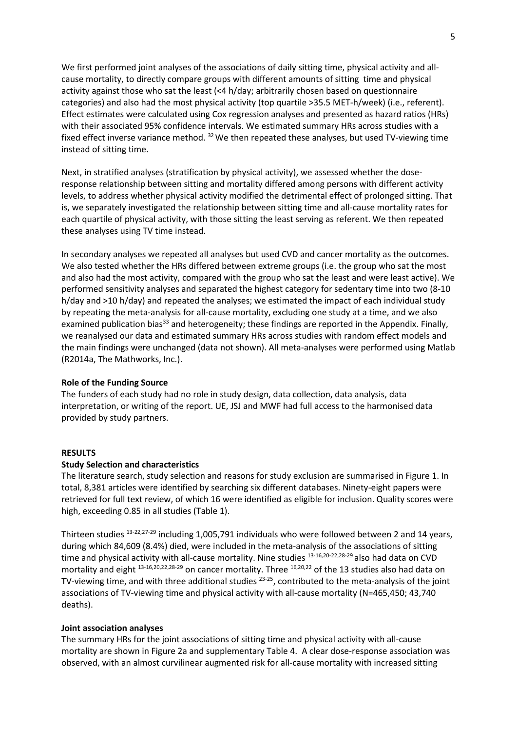We first performed joint analyses of the associations of daily sitting time, physical activity and allcause mortality, to directly compare groups with different amounts of sitting time and physical activity against those who sat the least (<4 h/day; arbitrarily chosen based on questionnaire categories) and also had the most physical activity (top quartile >35.5 MET-h/week) (i.e., referent). Effect estimates were calculated using Cox regression analyses and presented as hazard ratios (HRs) with their associated 95% confidence intervals. We estimated summary HRs across studies with a fixed effect inverse variance method. <sup>32</sup> We then repeated these analyses, but used TV-viewing time instead of sitting time.

Next, in stratified analyses (stratification by physical activity), we assessed whether the doseresponse relationship between sitting and mortality differed among persons with different activity levels, to address whether physical activity modified the detrimental effect of prolonged sitting. That is, we separately investigated the relationship between sitting time and all-cause mortality rates for each quartile of physical activity, with those sitting the least serving as referent. We then repeated these analyses using TV time instead.

In secondary analyses we repeated all analyses but used CVD and cancer mortality as the outcomes. We also tested whether the HRs differed between extreme groups (i.e. the group who sat the most and also had the most activity, compared with the group who sat the least and were least active). We performed sensitivity analyses and separated the highest category for sedentary time into two (8-10 h/day and >10 h/day) and repeated the analyses; we estimated the impact of each individual study by repeating the meta-analysis for all-cause mortality, excluding one study at a time, and we also examined publication bias<sup>33</sup> and heterogeneity; these findings are reported in the Appendix. Finally, we reanalysed our data and estimated summary HRs across studies with random effect models and the main findings were unchanged (data not shown). All meta-analyses were performed using Matlab (R2014a, The Mathworks, Inc.).

### **Role of the Funding Source**

The funders of each study had no role in study design, data collection, data analysis, data interpretation, or writing of the report. UE, JSJ and MWF had full access to the harmonised data provided by study partners.

### **RESULTS**

### **Study Selection and characteristics**

The literature search, study selection and reasons for study exclusion are summarised in Figure 1. In total, 8,381 articles were identified by searching six different databases. Ninety-eight papers were retrieved for full text review, of which 16 were identified as eligible for inclusion. Quality scores were high, exceeding 0.85 in all studies (Table 1).

Thirteen studies 13-22,27-29 including 1,005,791 individuals who were followed between 2 and 14 years, during which 84,609 (8.4%) died, were included in the meta-analysis of the associations of sitting time and physical activity with all-cause mortality. Nine studies 13-16,20-22,28-29 also had data on CVD mortality and eight <sup>13-16,20,22,28-29</sup> on cancer mortality. Three <sup>16,20,22</sup> of the 13 studies also had data on TV-viewing time, and with three additional studies <sup>23-25</sup>, contributed to the meta-analysis of the joint associations of TV-viewing time and physical activity with all-cause mortality (N=465,450; 43,740 deaths).

#### **Joint association analyses**

The summary HRs for the joint associations of sitting time and physical activity with all-cause mortality are shown in Figure 2a and supplementary Table 4. A clear dose-response association was observed, with an almost curvilinear augmented risk for all-cause mortality with increased sitting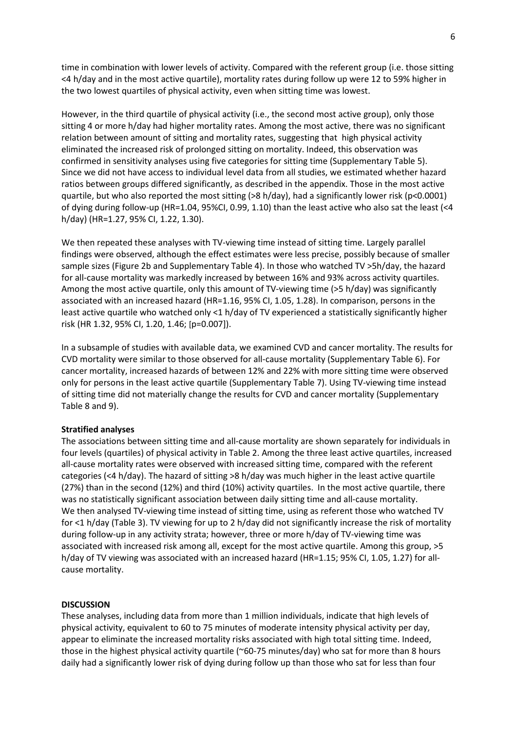time in combination with lower levels of activity. Compared with the referent group (i.e. those sitting <4 h/day and in the most active quartile), mortality rates during follow up were 12 to 59% higher in the two lowest quartiles of physical activity, even when sitting time was lowest.

However, in the third quartile of physical activity (i.e., the second most active group), only those sitting 4 or more h/day had higher mortality rates. Among the most active, there was no significant relation between amount of sitting and mortality rates, suggesting that high physical activity eliminated the increased risk of prolonged sitting on mortality. Indeed, this observation was confirmed in sensitivity analyses using five categories for sitting time (Supplementary Table 5). Since we did not have access to individual level data from all studies, we estimated whether hazard ratios between groups differed significantly, as described in the appendix. Those in the most active quartile, but who also reported the most sitting (>8 h/day), had a significantly lower risk (p<0.0001) of dying during follow-up (HR=1.04, 95%CI, 0.99, 1.10) than the least active who also sat the least (<4 h/day) (HR=1.27, 95% CI, 1.22, 1.30).

We then repeated these analyses with TV-viewing time instead of sitting time. Largely parallel findings were observed, although the effect estimates were less precise, possibly because of smaller sample sizes (Figure 2b and Supplementary Table 4). In those who watched TV >5h/day, the hazard for all-cause mortality was markedly increased by between 16% and 93% across activity quartiles. Among the most active quartile, only this amount of TV-viewing time (>5 h/day) was significantly associated with an increased hazard (HR=1.16, 95% CI, 1.05, 1.28). In comparison, persons in the least active quartile who watched only <1 h/day of TV experienced a statistically significantly higher risk (HR 1.32, 95% CI, 1.20, 1.46; [p=0.007]).

In a subsample of studies with available data, we examined CVD and cancer mortality. The results for CVD mortality were similar to those observed for all-cause mortality (Supplementary Table 6). For cancer mortality, increased hazards of between 12% and 22% with more sitting time were observed only for persons in the least active quartile (Supplementary Table 7). Using TV-viewing time instead of sitting time did not materially change the results for CVD and cancer mortality (Supplementary Table 8 and 9).

### **Stratified analyses**

The associations between sitting time and all-cause mortality are shown separately for individuals in four levels (quartiles) of physical activity in Table 2. Among the three least active quartiles, increased all-cause mortality rates were observed with increased sitting time, compared with the referent categories (<4 h/day). The hazard of sitting >8 h/day was much higher in the least active quartile (27%) than in the second (12%) and third (10%) activity quartiles. In the most active quartile, there was no statistically significant association between daily sitting time and all-cause mortality. We then analysed TV-viewing time instead of sitting time, using as referent those who watched TV for <1 h/day (Table 3). TV viewing for up to 2 h/day did not significantly increase the risk of mortality during follow-up in any activity strata; however, three or more h/day of TV-viewing time was associated with increased risk among all, except for the most active quartile. Among this group, >5 h/day of TV viewing was associated with an increased hazard (HR=1.15; 95% CI, 1.05, 1.27) for allcause mortality.

### **DISCUSSION**

These analyses, including data from more than 1 million individuals, indicate that high levels of physical activity, equivalent to 60 to 75 minutes of moderate intensity physical activity per day, appear to eliminate the increased mortality risks associated with high total sitting time. Indeed, those in the highest physical activity quartile (~60-75 minutes/day) who sat for more than 8 hours daily had a significantly lower risk of dying during follow up than those who sat for less than four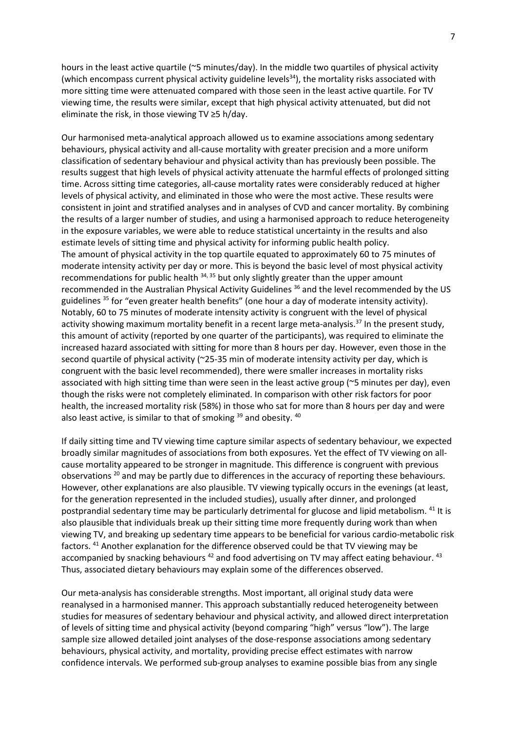hours in the least active quartile (~5 minutes/day). In the middle two quartiles of physical activity (which encompass current physical activity guideline levels $^{34}$ ), the mortality risks associated with more sitting time were attenuated compared with those seen in the least active quartile. For TV viewing time, the results were similar, except that high physical activity attenuated, but did not eliminate the risk, in those viewing TV ≥5 h/day.

Our harmonised meta-analytical approach allowed us to examine associations among sedentary behaviours, physical activity and all-cause mortality with greater precision and a more uniform classification of sedentary behaviour and physical activity than has previously been possible. The results suggest that high levels of physical activity attenuate the harmful effects of prolonged sitting time. Across sitting time categories, all-cause mortality rates were considerably reduced at higher levels of physical activity, and eliminated in those who were the most active. These results were consistent in joint and stratified analyses and in analyses of CVD and cancer mortality. By combining the results of a larger number of studies, and using a harmonised approach to reduce heterogeneity in the exposure variables, we were able to reduce statistical uncertainty in the results and also estimate levels of sitting time and physical activity for informing public health policy. The amount of physical activity in the top quartile equated to approximately 60 to 75 minutes of moderate intensity activity per day or more. This is beyond the basic level of most physical activity recommendations for public health <sup>34, 35</sup> but only slightly greater than the upper amount recommended in the Australian Physical Activity Guidelines <sup>36</sup> and the level recommended by the US guidelines <sup>35</sup> for "even greater health benefits" (one hour a day of moderate intensity activity). Notably, 60 to 75 minutes of moderate intensity activity is congruent with the level of physical activity showing maximum mortality benefit in a recent large meta-analysis.<sup>37</sup> In the present study, this amount of activity (reported by one quarter of the participants), was required to eliminate the increased hazard associated with sitting for more than 8 hours per day. However, even those in the second quartile of physical activity (~25-35 min of moderate intensity activity per day, which is congruent with the basic level recommended), there were smaller increases in mortality risks associated with high sitting time than were seen in the least active group (~5 minutes per day), even though the risks were not completely eliminated. In comparison with other risk factors for poor health, the increased mortality risk (58%) in those who sat for more than 8 hours per day and were also least active, is similar to that of smoking  $39$  and obesity.  $40$ 

If daily sitting time and TV viewing time capture similar aspects of sedentary behaviour, we expected broadly similar magnitudes of associations from both exposures. Yet the effect of TV viewing on allcause mortality appeared to be stronger in magnitude. This difference is congruent with previous observations <sup>20</sup> and may be partly due to differences in the accuracy of reporting these behaviours. However, other explanations are also plausible. TV viewing typically occurs in the evenings (at least, for the generation represented in the included studies), usually after dinner, and prolonged postprandial sedentary time may be particularly detrimental for glucose and lipid metabolism. <sup>41</sup> It is also plausible that individuals break up their sitting time more frequently during work than when viewing TV, and breaking up sedentary time appears to be beneficial for various cardio-metabolic risk factors. <sup>41</sup> Another explanation for the difference observed could be that TV viewing may be accompanied by snacking behaviours  $42$  and food advertising on TV may affect eating behaviour.  $43$ Thus, associated dietary behaviours may explain some of the differences observed.

Our meta-analysis has considerable strengths. Most important, all original study data were reanalysed in a harmonised manner. This approach substantially reduced heterogeneity between studies for measures of sedentary behaviour and physical activity, and allowed direct interpretation of levels of sitting time and physical activity (beyond comparing "high" versus "low"). The large sample size allowed detailed joint analyses of the dose-response associations among sedentary behaviours, physical activity, and mortality, providing precise effect estimates with narrow confidence intervals. We performed sub-group analyses to examine possible bias from any single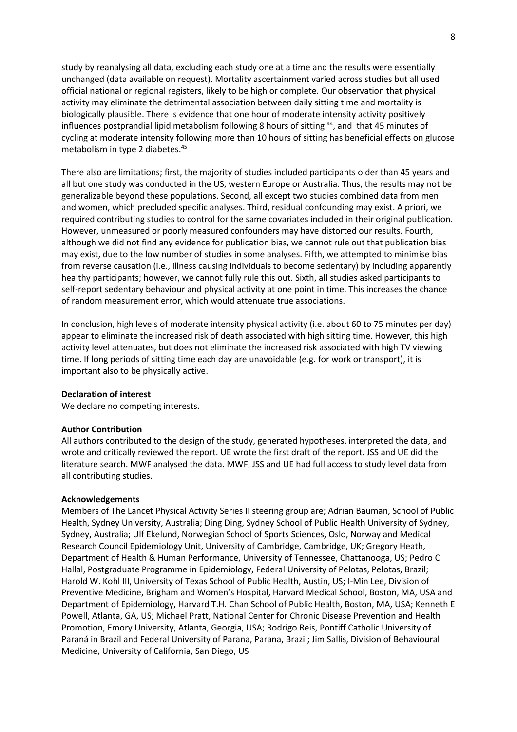study by reanalysing all data, excluding each study one at a time and the results were essentially unchanged (data available on request). Mortality ascertainment varied across studies but all used official national or regional registers, likely to be high or complete. Our observation that physical activity may eliminate the detrimental association between daily sitting time and mortality is biologically plausible. There is evidence that one hour of moderate intensity activity positively influences postprandial lipid metabolism following 8 hours of sitting <sup>44</sup>, and that 45 minutes of cycling at moderate intensity following more than 10 hours of sitting has beneficial effects on glucose metabolism in type 2 diabetes. 45

There also are limitations; first, the majority of studies included participants older than 45 years and all but one study was conducted in the US, western Europe or Australia. Thus, the results may not be generalizable beyond these populations. Second, all except two studies combined data from men and women, which precluded specific analyses. Third, residual confounding may exist. A priori, we required contributing studies to control for the same covariates included in their original publication. However, unmeasured or poorly measured confounders may have distorted our results. Fourth, although we did not find any evidence for publication bias, we cannot rule out that publication bias may exist, due to the low number of studies in some analyses. Fifth, we attempted to minimise bias from reverse causation (i.e., illness causing individuals to become sedentary) by including apparently healthy participants; however, we cannot fully rule this out. Sixth, all studies asked participants to self-report sedentary behaviour and physical activity at one point in time. This increases the chance of random measurement error, which would attenuate true associations.

In conclusion, high levels of moderate intensity physical activity (i.e. about 60 to 75 minutes per day) appear to eliminate the increased risk of death associated with high sitting time. However, this high activity level attenuates, but does not eliminate the increased risk associated with high TV viewing time. If long periods of sitting time each day are unavoidable (e.g. for work or transport), it is important also to be physically active.

### **Declaration of interest**

We declare no competing interests.

#### **Author Contribution**

All authors contributed to the design of the study, generated hypotheses, interpreted the data, and wrote and critically reviewed the report. UE wrote the first draft of the report. JSS and UE did the literature search. MWF analysed the data. MWF, JSS and UE had full access to study level data from all contributing studies.

### **Acknowledgements**

Members of The Lancet Physical Activity Series II steering group are; Adrian Bauman, School of Public Health, Sydney University, Australia; Ding Ding, Sydney School of Public Health University of Sydney, Sydney, Australia; Ulf Ekelund, Norwegian School of Sports Sciences, Oslo, Norway and Medical Research Council Epidemiology Unit, University of Cambridge, Cambridge, UK; Gregory Heath, Department of Health & Human Performance, University of Tennessee, Chattanooga, US; Pedro C Hallal, Postgraduate Programme in Epidemiology, Federal University of Pelotas, Pelotas, Brazil; Harold W. Kohl III, University of Texas School of Public Health, Austin, US; I-Min Lee, Division of Preventive Medicine, Brigham and Women's Hospital, Harvard Medical School, Boston, MA, USA and Department of Epidemiology, Harvard T.H. Chan School of Public Health, Boston, MA, USA; Kenneth E Powell, Atlanta, GA, US; Michael Pratt, National Center for Chronic Disease Prevention and Health Promotion, Emory University, Atlanta, Georgia, USA; Rodrigo Reis, Pontiff Catholic University of Paraná in Brazil and Federal University of Parana, Parana, Brazil; Jim Sallis, Division of Behavioural Medicine, University of California, San Diego, US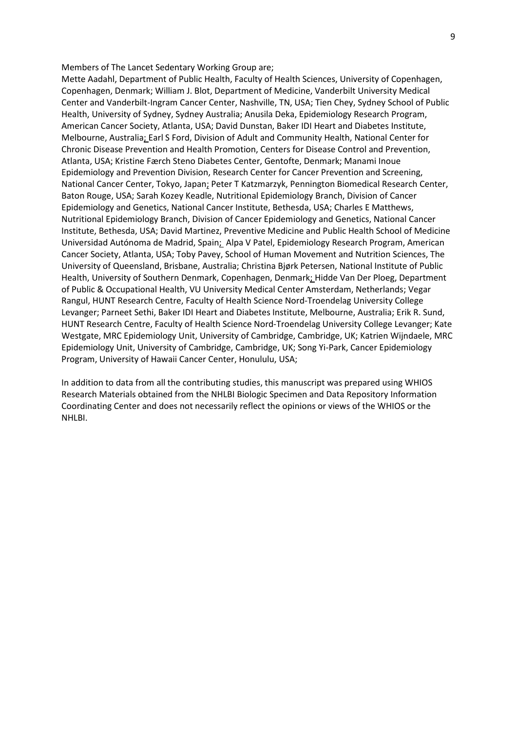Members of The Lancet Sedentary Working Group are;

Mette Aadahl, Department of Public Health, Faculty of Health Sciences, University of Copenhagen, Copenhagen, Denmark; William J. Blot, Department of Medicine, Vanderbilt University Medical Center and Vanderbilt-Ingram Cancer Center, Nashville, TN, USA; Tien Chey, Sydney School of Public Health, University of Sydney, Sydney Australia; Anusila Deka, Epidemiology Research Program, American Cancer Society, Atlanta, USA; David Dunstan, Baker IDI Heart and Diabetes Institute, Melbourne, Australia; Earl S Ford, Division of Adult and Community Health, National Center for Chronic Disease Prevention and Health Promotion, Centers for Disease Control and Prevention, Atlanta, USA; Kristine Færch Steno Diabetes Center, Gentofte, Denmark; Manami Inoue Epidemiology and Prevention Division, Research Center for Cancer Prevention and Screening, National Cancer Center, Tokyo, Japan; Peter T Katzmarzyk, Pennington Biomedical Research Center, Baton Rouge, USA; Sarah Kozey Keadle, Nutritional Epidemiology Branch, Division of Cancer Epidemiology and Genetics, National Cancer Institute, Bethesda, USA; Charles E Matthews, Nutritional Epidemiology Branch, Division of Cancer Epidemiology and Genetics, National Cancer Institute, Bethesda, USA; David Martinez, Preventive Medicine and Public Health School of Medicine Universidad Autónoma de Madrid, Spain; Alpa V Patel, Epidemiology Research Program, American Cancer Society, Atlanta, USA; Toby Pavey, School of Human Movement and Nutrition Sciences, The University of Queensland, Brisbane, Australia; Christina Bjørk Petersen, National Institute of Public Health, University of Southern Denmark, Copenhagen, Denmark; Hidde Van Der Ploeg, Department of Public & Occupational Health, VU University Medical Center Amsterdam, Netherlands; Vegar Rangul, HUNT Research Centre, Faculty of Health Science Nord-Troendelag University College Levanger; Parneet Sethi, Baker IDI Heart and Diabetes Institute, Melbourne, Australia; Erik R. Sund, HUNT Research Centre, Faculty of Health Science Nord-Troendelag University College Levanger; Kate Westgate, MRC Epidemiology Unit, University of Cambridge, Cambridge, UK; Katrien Wijndaele, MRC Epidemiology Unit, University of Cambridge, Cambridge, UK; Song Yi-Park, Cancer Epidemiology Program, University of Hawaii Cancer Center, Honululu, USA;

In addition to data from all the contributing studies, this manuscript was prepared using WHIOS Research Materials obtained from the NHLBI Biologic Specimen and Data Repository Information Coordinating Center and does not necessarily reflect the opinions or views of the WHIOS or the NHLBI.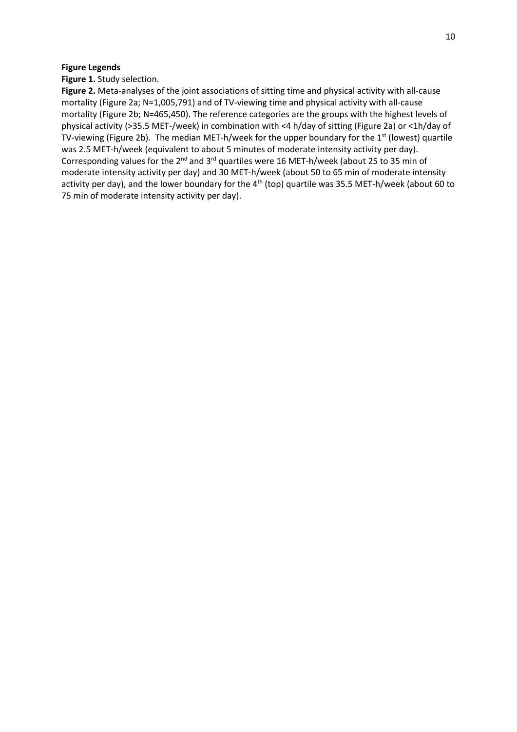## **Figure Legends**

**Figure 1.** Study selection.

**Figure 2.** Meta-analyses of the joint associations of sitting time and physical activity with all-cause mortality (Figure 2a; N=1,005,791) and of TV-viewing time and physical activity with all-cause mortality (Figure 2b; N=465,450). The reference categories are the groups with the highest levels of physical activity (>35.5 MET-/week) in combination with <4 h/day of sitting (Figure 2a) or <1h/day of TV-viewing (Figure 2b). The median MET-h/week for the upper boundary for the 1<sup>st</sup> (lowest) quartile was 2.5 MET-h/week (equivalent to about 5 minutes of moderate intensity activity per day). Corresponding values for the 2nd and 3rd quartiles were 16 MET-h/week (about 25 to 35 min of moderate intensity activity per day) and 30 MET-h/week (about 50 to 65 min of moderate intensity activity per day), and the lower boundary for the 4<sup>th</sup> (top) quartile was 35.5 MET-h/week (about 60 to 75 min of moderate intensity activity per day).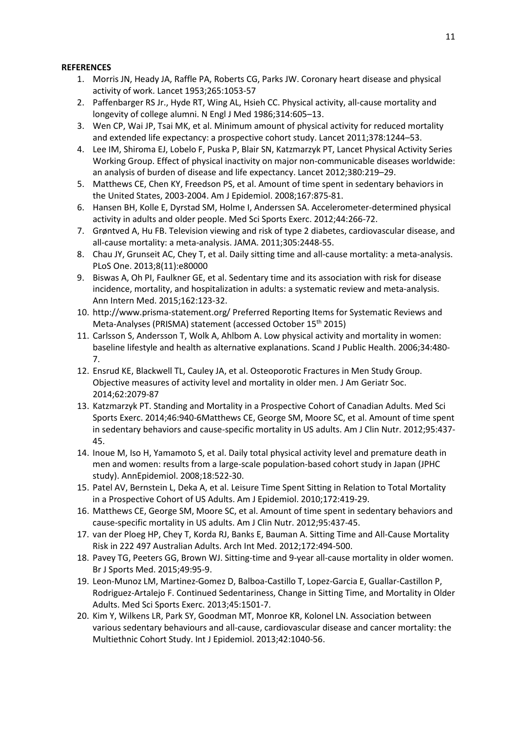## **REFERENCES**

- 1. Morris JN, Heady JA, Raffle PA, Roberts CG, Parks JW. Coronary heart disease and physical activity of work. Lancet 1953;265:1053-57
- 2. Paffenbarger RS Jr., Hyde RT, Wing AL, Hsieh CC. Physical activity, all-cause mortality and longevity of college alumni. N Engl J Med 1986;314:605–13.
- 3. Wen CP, Wai JP, Tsai MK, et al. Minimum amount of physical activity for reduced mortality and extended life expectancy: a prospective cohort study. Lancet 2011;378:1244–53.
- 4. Lee IM, Shiroma EJ, Lobelo F, Puska P, Blair SN, Katzmarzyk PT, Lancet Physical Activity Series Working Group. Effect of physical inactivity on major non-communicable diseases worldwide: an analysis of burden of disease and life expectancy. Lancet 2012;380:219–29.
- 5. Matthews CE, Chen KY, Freedson PS, et al. Amount of time spent in sedentary behaviors in the United States, 2003-2004. Am J Epidemiol. 2008;167:875-81.
- 6. Hansen BH, Kolle E, Dyrstad SM, Holme I, Anderssen SA. Accelerometer-determined physical activity in adults and older people. Med Sci Sports Exerc. 2012;44:266-72.
- 7. Grøntved A, Hu FB. Television viewing and risk of type 2 diabetes, cardiovascular disease, and all-cause mortality: a meta-analysis. JAMA. 2011;305:2448-55.
- 8. Chau JY, Grunseit AC, Chey T, et al. Daily sitting time and all-cause mortality: a meta-analysis. PLoS One. 2013;8(11):e80000
- 9. Biswas A, Oh PI, Faulkner GE, et al. Sedentary time and its association with risk for disease incidence, mortality, and hospitalization in adults: a systematic review and meta-analysis. Ann Intern Med. 2015;162:123-32.
- 10. http://www.prisma-statement.org/ Preferred Reporting Items for Systematic Reviews and Meta-Analyses (PRISMA) statement (accessed October 15<sup>th</sup> 2015)
- 11. Carlsson S, Andersson T, Wolk A, Ahlbom A. Low physical activity and mortality in women: baseline lifestyle and health as alternative explanations. Scand J Public Health. 2006;34:480- 7.
- 12. Ensrud KE, Blackwell TL, Cauley JA, et al. Osteoporotic Fractures in Men Study Group. Objective measures of activity level and mortality in older men. J Am Geriatr Soc. 2014;62:2079-87
- 13. Katzmarzyk PT. Standing and Mortality in a Prospective Cohort of Canadian Adults. Med Sci Sports Exerc. 2014;46:940-6Matthews CE, George SM, Moore SC, et al. Amount of time spent in sedentary behaviors and cause-specific mortality in US adults. Am J Clin Nutr. 2012;95:437- 45.
- 14. Inoue M, Iso H, Yamamoto S, et al. Daily total physical activity level and premature death in men and women: results from a large-scale population-based cohort study in Japan (JPHC study). AnnEpidemiol. 2008;18:522-30.
- 15. Patel AV, Bernstein L, Deka A, et al. Leisure Time Spent Sitting in Relation to Total Mortality in a Prospective Cohort of US Adults. Am J Epidemiol. 2010;172:419-29.
- 16. Matthews CE, George SM, Moore SC, et al. Amount of time spent in sedentary behaviors and cause-specific mortality in US adults. Am J Clin Nutr. 2012;95:437-45.
- 17. van der Ploeg HP, Chey T, Korda RJ, Banks E, Bauman A. Sitting Time and All-Cause Mortality Risk in 222 497 Australian Adults. Arch Int Med. 2012;172:494-500.
- 18. Pavey TG, Peeters GG, Brown WJ. Sitting-time and 9-year all-cause mortality in older women. Br J Sports Med. 2015;49:95-9.
- 19. Leon-Munoz LM, Martinez-Gomez D, Balboa-Castillo T, Lopez-Garcia E, Guallar-Castillon P, Rodriguez-Artalejo F. Continued Sedentariness, Change in Sitting Time, and Mortality in Older Adults. Med Sci Sports Exerc. 2013;45:1501-7.
- 20. Kim Y, Wilkens LR, Park SY, Goodman MT, Monroe KR, Kolonel LN. Association between various sedentary behaviours and all-cause, cardiovascular disease and cancer mortality: the Multiethnic Cohort Study. Int J Epidemiol. 2013;42:1040-56.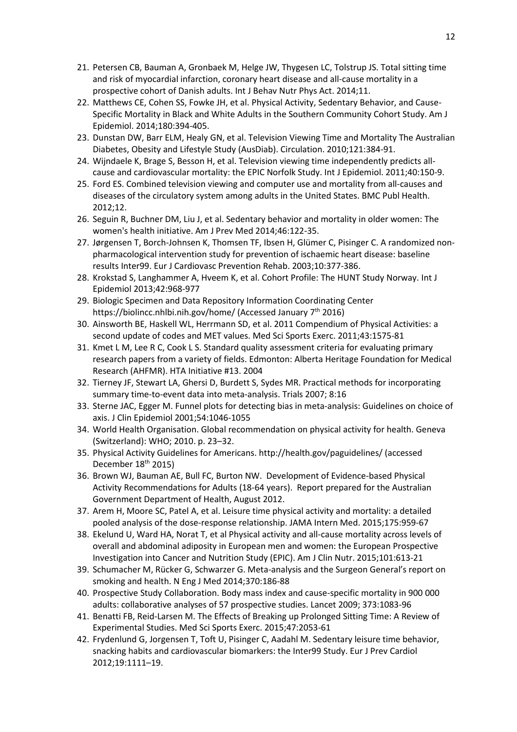- 21. Petersen CB, Bauman A, Gronbaek M, Helge JW, Thygesen LC, Tolstrup JS. Total sitting time and risk of myocardial infarction, coronary heart disease and all-cause mortality in a prospective cohort of Danish adults. Int J Behav Nutr Phys Act. 2014;11.
- 22. Matthews CE, Cohen SS, Fowke JH, et al. Physical Activity, Sedentary Behavior, and Cause-Specific Mortality in Black and White Adults in the Southern Community Cohort Study. Am J Epidemiol. 2014;180:394-405.
- 23. Dunstan DW, Barr ELM, Healy GN, et al. Television Viewing Time and Mortality The Australian Diabetes, Obesity and Lifestyle Study (AusDiab). Circulation. 2010;121:384-91.
- 24. Wijndaele K, Brage S, Besson H, et al. Television viewing time independently predicts allcause and cardiovascular mortality: the EPIC Norfolk Study. Int J Epidemiol. 2011;40:150-9.
- 25. Ford ES. Combined television viewing and computer use and mortality from all-causes and diseases of the circulatory system among adults in the United States. BMC Publ Health. 2012;12.
- 26. Seguin R, Buchner DM, Liu J, et al. Sedentary behavior and mortality in older women: The women's health initiative. Am J Prev Med 2014;46:122-35.
- 27. Jørgensen T, Borch-Johnsen K, Thomsen TF, Ibsen H, Glümer C, Pisinger C. A randomized nonpharmacological intervention study for prevention of ischaemic heart disease: baseline results Inter99. Eur J Cardiovasc Prevention Rehab. 2003;10:377-386.
- 28. Krokstad S, Langhammer A, Hveem K, et al. Cohort Profile: The HUNT Study Norway. Int J Epidemiol 2013;42:968-977
- 29. Biologic Specimen and Data Repository Information Coordinating Center https://biolincc.nhlbi.nih.gov/home/ (Accessed January 7<sup>th</sup> 2016)
- 30. Ainsworth BE, Haskell WL, Herrmann SD, et al. 2011 Compendium of Physical Activities: a second update of codes and MET values. Med Sci Sports Exerc. 2011;43:1575-81
- 31. Kmet L M, Lee R C, Cook L S. Standard quality assessment criteria for evaluating primary research papers from a variety of fields. Edmonton: Alberta Heritage Foundation for Medical Research (AHFMR). HTA Initiative #13. 2004
- 32. Tierney JF, Stewart LA, Ghersi D, Burdett S, Sydes MR. Practical methods for incorporating summary time-to-event data into meta-analysis. Trials 2007; 8:16
- 33. Sterne JAC, Egger M. Funnel plots for detecting bias in meta-analysis: Guidelines on choice of axis. J Clin Epidemiol 2001;54:1046-1055
- 34. World Health Organisation. Global recommendation on physical activity for health. Geneva (Switzerland): WHO; 2010. p. 23–32.
- 35. Physical Activity Guidelines for Americans. http://health.gov/paguidelines/ (accessed December 18<sup>th</sup> 2015)
- 36. Brown WJ, Bauman AE, Bull FC, Burton NW. Development of Evidence-based Physical Activity Recommendations for Adults (18-64 years). Report prepared for the Australian Government Department of Health, August 2012.
- 37. Arem H, Moore SC, Patel A, et al. Leisure time physical activity and mortality: a detailed pooled analysis of the dose-response relationship. JAMA Intern Med. 2015;175:959-67
- 38. Ekelund U, Ward HA, Norat T, et al Physical activity and all-cause mortality across levels of overall and abdominal adiposity in European men and women: the European Prospective Investigation into Cancer and Nutrition Study (EPIC). Am J Clin Nutr. 2015;101:613-21
- 39. Schumacher M, Rücker G, Schwarzer G. Meta-analysis and the Surgeon General's report on smoking and health. N Eng J Med 2014;370:186-88
- 40. Prospective Study Collaboration. Body mass index and cause-specific mortality in 900 000 adults: collaborative analyses of 57 prospective studies. Lancet 2009; 373:1083-96
- 41. Benatti FB, Reid-Larsen M. The Effects of Breaking up Prolonged Sitting Time: A Review of Experimental Studies. Med Sci Sports Exerc. 2015;47:2053-61
- 42. Frydenlund G, Jorgensen T, Toft U, Pisinger C, Aadahl M. Sedentary leisure time behavior, snacking habits and cardiovascular biomarkers: the Inter99 Study. Eur J Prev Cardiol 2012;19:1111–19.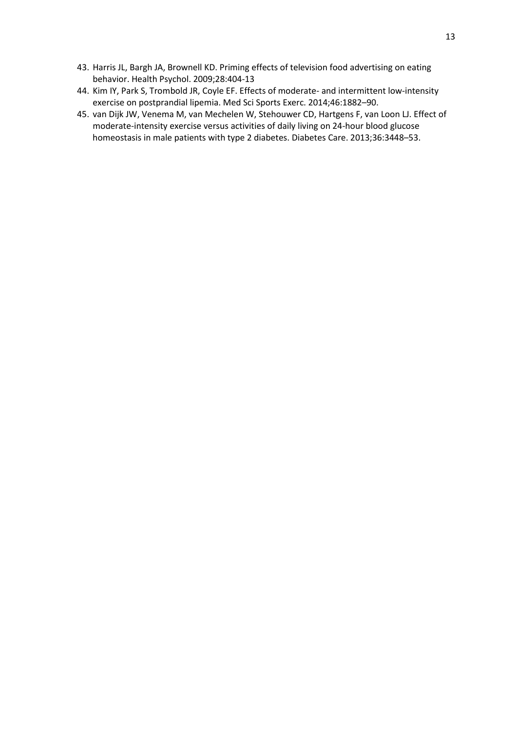- 43. Harris JL, Bargh JA, Brownell KD. Priming effects of television food advertising on eating behavior. Health Psychol. 2009;28:404-13
- 44. Kim IY, Park S, Trombold JR, Coyle EF. Effects of moderate- and intermittent low-intensity exercise on postprandial lipemia. Med Sci Sports Exerc. 2014;46:1882–90.
- 45. van Dijk JW, Venema M, van Mechelen W, Stehouwer CD, Hartgens F, van Loon LJ. Effect of moderate-intensity exercise versus activities of daily living on 24-hour blood glucose homeostasis in male patients with type 2 diabetes. Diabetes Care. 2013;36:3448–53.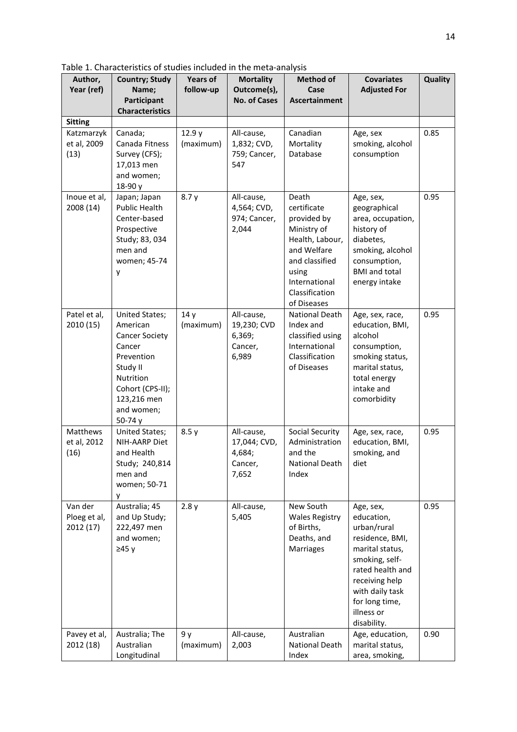Table 1. Characteristics of studies included in the meta-analysis

| Author,<br>Year (ref)                | <b>Country; Study</b><br>Name;<br>Participant                                                                                                                             | <b>Years of</b><br>follow-up | <b>Mortality</b><br>Outcome(s),<br><b>No. of Cases</b>   | <b>Method of</b><br>Case<br><b>Ascertainment</b>                                                                                                                  | <b>Covariates</b><br><b>Adjusted For</b>                                                                                                                                                               | Quality |
|--------------------------------------|---------------------------------------------------------------------------------------------------------------------------------------------------------------------------|------------------------------|----------------------------------------------------------|-------------------------------------------------------------------------------------------------------------------------------------------------------------------|--------------------------------------------------------------------------------------------------------------------------------------------------------------------------------------------------------|---------|
|                                      | <b>Characteristics</b>                                                                                                                                                    |                              |                                                          |                                                                                                                                                                   |                                                                                                                                                                                                        |         |
| <b>Sitting</b>                       |                                                                                                                                                                           |                              |                                                          |                                                                                                                                                                   |                                                                                                                                                                                                        |         |
| Katzmarzyk<br>et al, 2009<br>(13)    | Canada;<br>Canada Fitness<br>Survey (CFS);<br>17,013 men<br>and women;<br>18-90 y                                                                                         | 12.9 y<br>(maximum)          | All-cause,<br>1,832; CVD,<br>759; Cancer,<br>547         | Canadian<br>Mortality<br>Database                                                                                                                                 | Age, sex<br>smoking, alcohol<br>consumption                                                                                                                                                            | 0.85    |
| Inoue et al,<br>2008 (14)            | Japan; Japan<br><b>Public Health</b><br>Center-based<br>Prospective<br>Study; 83, 034<br>men and<br>women; 45-74<br>у                                                     | 8.7y                         | All-cause,<br>4,564; CVD,<br>974; Cancer,<br>2,044       | Death<br>certificate<br>provided by<br>Ministry of<br>Health, Labour,<br>and Welfare<br>and classified<br>using<br>International<br>Classification<br>of Diseases | Age, sex,<br>geographical<br>area, occupation,<br>history of<br>diabetes,<br>smoking, alcohol<br>consumption,<br><b>BMI</b> and total<br>energy intake                                                 | 0.95    |
| Patel et al,<br>2010 (15)            | United States;<br>American<br><b>Cancer Society</b><br>Cancer<br>Prevention<br>Study II<br><b>Nutrition</b><br>Cohort (CPS-II);<br>123,216 men<br>and women;<br>50-74 $y$ | 14y<br>(maximum)             | All-cause,<br>19,230; CVD<br>6,369;<br>Cancer,<br>6,989  | <b>National Death</b><br>Index and<br>classified using<br>International<br>Classification<br>of Diseases                                                          | Age, sex, race,<br>education, BMI,<br>alcohol<br>consumption,<br>smoking status,<br>marital status,<br>total energy<br>intake and<br>comorbidity                                                       | 0.95    |
| Matthews<br>et al, 2012<br>(16)      | <b>United States;</b><br>NIH-AARP Diet<br>and Health<br>Study; 240,814<br>men and<br>women; 50-71<br>y                                                                    | 8.5y                         | All-cause,<br>17,044; CVD,<br>4,684;<br>Cancer,<br>7,652 | <b>Social Security</b><br>Administration<br>and the<br>National Death<br>Index                                                                                    | Age, sex, race,<br>education, BMI,<br>smoking, and<br>diet                                                                                                                                             | 0.95    |
| Van der<br>Ploeg et al,<br>2012 (17) | Australia; 45<br>and Up Study;<br>222,497 men<br>and women;<br>≥45 y                                                                                                      | 2.8y                         | All-cause,<br>5,405                                      | New South<br><b>Wales Registry</b><br>of Births,<br>Deaths, and<br>Marriages                                                                                      | Age, sex,<br>education,<br>urban/rural<br>residence, BMI,<br>marital status,<br>smoking, self-<br>rated health and<br>receiving help<br>with daily task<br>for long time,<br>illness or<br>disability. | 0.95    |
| Pavey et al,<br>2012 (18)            | Australia; The<br>Australian<br>Longitudinal                                                                                                                              | 9 y<br>(maximum)             | All-cause,<br>2,003                                      | Australian<br><b>National Death</b><br>Index                                                                                                                      | Age, education,<br>marital status,<br>area, smoking,                                                                                                                                                   | 0.90    |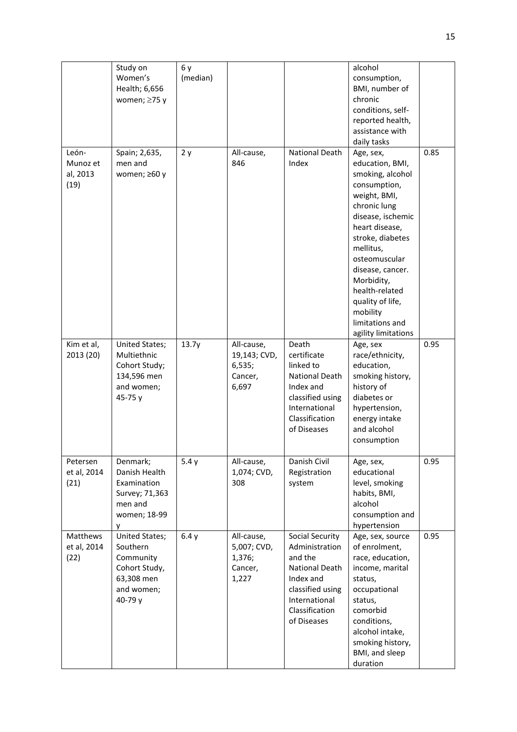|                                       | Study on<br>Women's<br>Health; 6,656<br>women; $\geq$ 75 y                                      | 6 y<br>(median) |                                                          |                                                                                                                                                          | alcohol<br>consumption,<br>BMI, number of<br>chronic<br>conditions, self-<br>reported health,<br>assistance with<br>daily tasks                                                                                                                                                                                         |      |
|---------------------------------------|-------------------------------------------------------------------------------------------------|-----------------|----------------------------------------------------------|----------------------------------------------------------------------------------------------------------------------------------------------------------|-------------------------------------------------------------------------------------------------------------------------------------------------------------------------------------------------------------------------------------------------------------------------------------------------------------------------|------|
| León-<br>Munoz et<br>al, 2013<br>(19) | Spain; 2,635,<br>men and<br>women; ≥60 y                                                        | 2y              | All-cause,<br>846                                        | <b>National Death</b><br>Index                                                                                                                           | Age, sex,<br>education, BMI,<br>smoking, alcohol<br>consumption,<br>weight, BMI,<br>chronic lung<br>disease, ischemic<br>heart disease,<br>stroke, diabetes<br>mellitus,<br>osteomuscular<br>disease, cancer.<br>Morbidity,<br>health-related<br>quality of life,<br>mobility<br>limitations and<br>agility limitations | 0.85 |
| Kim et al,<br>2013 (20)               | United States;<br>Multiethnic<br>Cohort Study;<br>134,596 men<br>and women;<br>45-75 y          | 13.7y           | All-cause,<br>19,143; CVD,<br>6,535;<br>Cancer,<br>6,697 | Death<br>certificate<br>linked to<br><b>National Death</b><br>Index and<br>classified using<br>International<br>Classification<br>of Diseases            | Age, sex<br>race/ethnicity,<br>education,<br>smoking history,<br>history of<br>diabetes or<br>hypertension,<br>energy intake<br>and alcohol<br>consumption                                                                                                                                                              | 0.95 |
| Petersen<br>et al, 2014<br>(21)       | Denmark;<br>Danish Health<br>Examination<br>Survey; 71,363<br>men and<br>women; 18-99<br>у      | 5.4y            | All-cause,<br>1,074; CVD,<br>308                         | Danish Civil<br>Registration<br>system                                                                                                                   | Age, sex,<br>educational<br>level, smoking<br>habits, BMI,<br>alcohol<br>consumption and<br>hypertension                                                                                                                                                                                                                | 0.95 |
| Matthews<br>et al, 2014<br>(22)       | United States;<br>Southern<br>Community<br>Cohort Study,<br>63,308 men<br>and women;<br>40-79 y | 6.4y            | All-cause,<br>5,007; CVD,<br>1,376;<br>Cancer,<br>1,227  | Social Security<br>Administration<br>and the<br><b>National Death</b><br>Index and<br>classified using<br>International<br>Classification<br>of Diseases | Age, sex, source<br>of enrolment,<br>race, education,<br>income, marital<br>status,<br>occupational<br>status,<br>comorbid<br>conditions,<br>alcohol intake,<br>smoking history,<br>BMI, and sleep<br>duration                                                                                                          | 0.95 |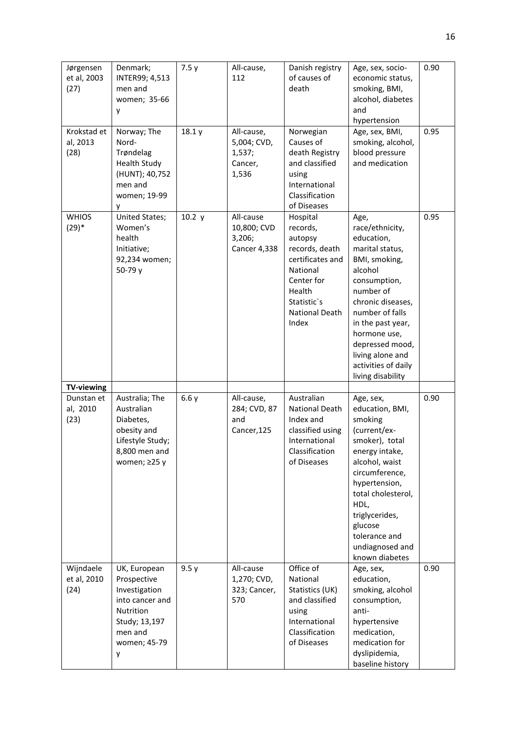| Jørgensen<br>et al, 2003<br>(27) | Denmark;<br>INTER99; 4,513<br>men and<br>women; 35-66<br>y                                                                    | 7.5y   | All-cause,<br>112                                         | Danish registry<br>of causes of<br>death                                                                                                                   | Age, sex, socio-<br>economic status,<br>smoking, BMI,<br>alcohol, diabetes<br>and<br>hypertension                                                                                                                                                                                 | 0.90 |
|----------------------------------|-------------------------------------------------------------------------------------------------------------------------------|--------|-----------------------------------------------------------|------------------------------------------------------------------------------------------------------------------------------------------------------------|-----------------------------------------------------------------------------------------------------------------------------------------------------------------------------------------------------------------------------------------------------------------------------------|------|
| Krokstad et<br>al, 2013<br>(28)  | Norway; The<br>Nord-<br>Trøndelag<br><b>Health Study</b><br>(HUNT); 40,752<br>men and<br>women; 19-99<br>٧                    | 18.1y  | All-cause,<br>5,004; CVD,<br>1,537;<br>Cancer,<br>1,536   | Norwegian<br>Causes of<br>death Registry<br>and classified<br>using<br>International<br>Classification<br>of Diseases                                      | Age, sex, BMI,<br>smoking, alcohol,<br>blood pressure<br>and medication                                                                                                                                                                                                           | 0.95 |
| <b>WHIOS</b><br>$(29)*$          | United States;<br>Women's<br>health<br>Initiative;<br>92,234 women;<br>50-79 y                                                | 10.2 y | All-cause<br>10,800; CVD<br>3,206;<br><b>Cancer 4,338</b> | Hospital<br>records,<br>autopsy<br>records, death<br>certificates and<br>National<br>Center for<br>Health<br>Statistic's<br><b>National Death</b><br>Index | Age,<br>race/ethnicity,<br>education,<br>marital status,<br>BMI, smoking,<br>alcohol<br>consumption,<br>number of<br>chronic diseases,<br>number of falls<br>in the past year,<br>hormone use,<br>depressed mood,<br>living alone and<br>activities of daily<br>living disability | 0.95 |
| <b>TV-viewing</b>                |                                                                                                                               |        |                                                           |                                                                                                                                                            |                                                                                                                                                                                                                                                                                   |      |
| Dunstan et<br>al, 2010<br>(23)   | Australia; The<br>Australian<br>Diabetes,<br>obesity and<br>Lifestyle Study;<br>8,800 men and<br>women; $\geq$ 25 y           | 6.6y   | All-cause,<br>284; CVD, 87<br>and<br>Cancer, 125          | Australian<br><b>National Death</b><br>Index and<br>classified using<br>International<br>Classification<br>of Diseases                                     | Age, sex,<br>education, BMI,<br>smoking<br>(current/ex-<br>smoker), total<br>energy intake,<br>alcohol, waist<br>circumference,<br>hypertension,<br>total cholesterol,<br>HDL,<br>triglycerides,<br>glucose<br>tolerance and<br>undiagnosed and<br>known diabetes                 | 0.90 |
| Wijndaele<br>et al, 2010<br>(24) | UK, European<br>Prospective<br>Investigation<br>into cancer and<br>Nutrition<br>Study; 13,197<br>men and<br>women; 45-79<br>у | 9.5y   | All-cause<br>1,270; CVD,<br>323; Cancer,<br>570           | Office of<br>National<br>Statistics (UK)<br>and classified<br>using<br>International<br>Classification<br>of Diseases                                      | Age, sex,<br>education,<br>smoking, alcohol<br>consumption,<br>anti-<br>hypertensive<br>medication,<br>medication for<br>dyslipidemia,<br>baseline history                                                                                                                        | 0.90 |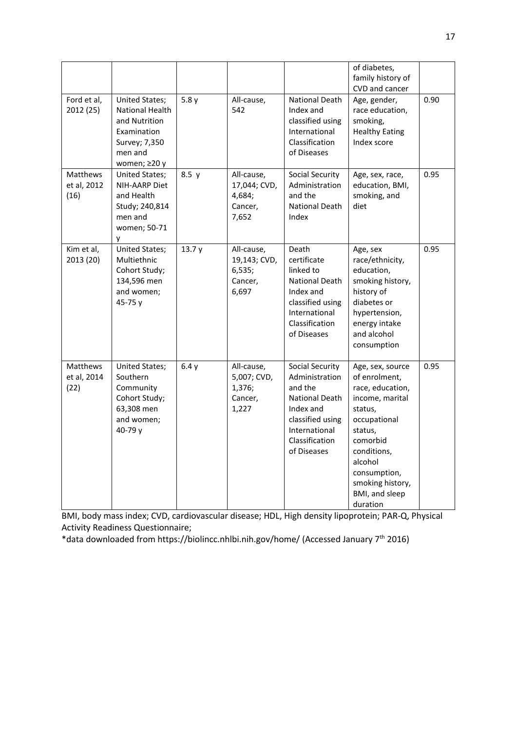|                                 |                                                                                                               |       |                                                          |                                                                                                                                                                 | of diabetes,<br>family history of<br>CVD and cancer                                                                                                                                                                    |      |
|---------------------------------|---------------------------------------------------------------------------------------------------------------|-------|----------------------------------------------------------|-----------------------------------------------------------------------------------------------------------------------------------------------------------------|------------------------------------------------------------------------------------------------------------------------------------------------------------------------------------------------------------------------|------|
| Ford et al,<br>2012 (25)        | United States;<br>National Health<br>and Nutrition<br>Examination<br>Survey; 7,350<br>men and<br>women; ≥20 y | 5.8y  | All-cause,<br>542                                        | <b>National Death</b><br>Index and<br>classified using<br>International<br>Classification<br>of Diseases                                                        | Age, gender,<br>race education,<br>smoking,<br><b>Healthy Eating</b><br>Index score                                                                                                                                    | 0.90 |
| Matthews<br>et al, 2012<br>(16) | United States;<br>NIH-AARP Diet<br>and Health<br>Study; 240,814<br>men and<br>women; 50-71<br>٧               | 8.5y  | All-cause,<br>17,044; CVD,<br>4,684;<br>Cancer,<br>7,652 | <b>Social Security</b><br>Administration<br>and the<br><b>National Death</b><br>Index                                                                           | Age, sex, race,<br>education, BMI,<br>smoking, and<br>diet                                                                                                                                                             | 0.95 |
| Kim et al,<br>2013 (20)         | <b>United States;</b><br>Multiethnic<br>Cohort Study;<br>134,596 men<br>and women;<br>45-75 y                 | 13.7y | All-cause,<br>19,143; CVD,<br>6,535;<br>Cancer,<br>6,697 | Death<br>certificate<br>linked to<br><b>National Death</b><br>Index and<br>classified using<br>International<br>Classification<br>of Diseases                   | Age, sex<br>race/ethnicity,<br>education,<br>smoking history,<br>history of<br>diabetes or<br>hypertension,<br>energy intake<br>and alcohol<br>consumption                                                             | 0.95 |
| Matthews<br>et al, 2014<br>(22) | <b>United States;</b><br>Southern<br>Community<br>Cohort Study;<br>63,308 men<br>and women;<br>40-79 y        | 6.4y  | All-cause,<br>5,007; CVD,<br>1,376;<br>Cancer,<br>1,227  | <b>Social Security</b><br>Administration<br>and the<br><b>National Death</b><br>Index and<br>classified using<br>International<br>Classification<br>of Diseases | Age, sex, source<br>of enrolment,<br>race, education,<br>income, marital<br>status,<br>occupational<br>status,<br>comorbid<br>conditions,<br>alcohol<br>consumption,<br>smoking history,<br>BMI, and sleep<br>duration | 0.95 |

BMI, body mass index; CVD, cardiovascular disease; HDL, High density lipoprotein; PAR-Q, Physical Activity Readiness Questionnaire;

\*data downloaded from https://biolincc.nhlbi.nih.gov/home/ (Accessed January 7th 2016)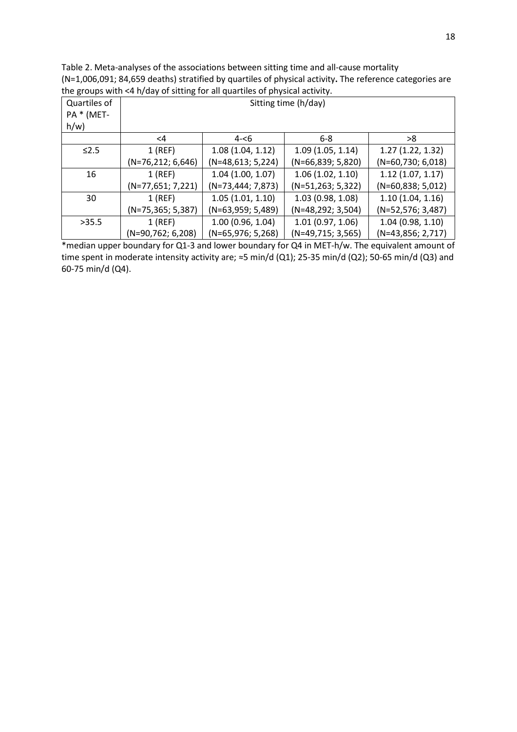Table 2. Meta-analyses of the associations between sitting time and all-cause mortality (N=1,006,091; 84,659 deaths) stratified by quartiles of physical activity**.** The reference categories are the groups with <4 h/day of sitting for all quartiles of physical activity.

| Quartiles of<br>PA * (MET-<br>$h/w$ ) | . <del>.</del><br>Sitting time (h/day) |                     |                     |                     |  |  |
|---------------------------------------|----------------------------------------|---------------------|---------------------|---------------------|--|--|
|                                       | <4                                     | $4 - 6$             | $6 - 8$             | >8                  |  |  |
| $\leq$ 2.5                            | $1$ (REF)                              | 1.08(1.04, 1.12)    | 1.09(1.05, 1.14)    | 1.27(1.22, 1.32)    |  |  |
|                                       | $(N=76,212; 6,646)$                    | $(N=48,613; 5,224)$ | (N=66,839; 5,820)   | $(N=60,730; 6,018)$ |  |  |
| 16                                    | $1$ (REF)                              | 1.04(1.00, 1.07)    | 1.06(1.02, 1.10)    | 1.12(1.07, 1.17)    |  |  |
|                                       | (N=77,651; 7,221)                      | $(N=73,444; 7,873)$ | (N=51,263; 5,322)   | $(N=60,838; 5,012)$ |  |  |
| 30                                    | $1$ (REF)                              | 1.05(1.01, 1.10)    | 1.03(0.98, 1.08)    | 1.10(1.04, 1.16)    |  |  |
|                                       | (N=75,365; 5,387)                      | $(N=63,959; 5,489)$ | (N=48,292; 3,504)   | (N=52,576; 3,487)   |  |  |
| >35.5                                 | $1$ (REF)                              | 1.00(0.96, 1.04)    | 1.01(0.97, 1.06)    | 1.04(0.98, 1.10)    |  |  |
|                                       | (N=90,762; 6,208)                      | $(N=65,976; 5,268)$ | $(N=49,715; 3,565)$ | $(N=43,856; 2,717)$ |  |  |

\*median upper boundary for Q1-3 and lower boundary for Q4 in MET-h/w. The equivalent amount of time spent in moderate intensity activity are; ≈5 min/d (Q1); 25-35 min/d (Q2); 50-65 min/d (Q3) and 60-75 min/d (Q4).